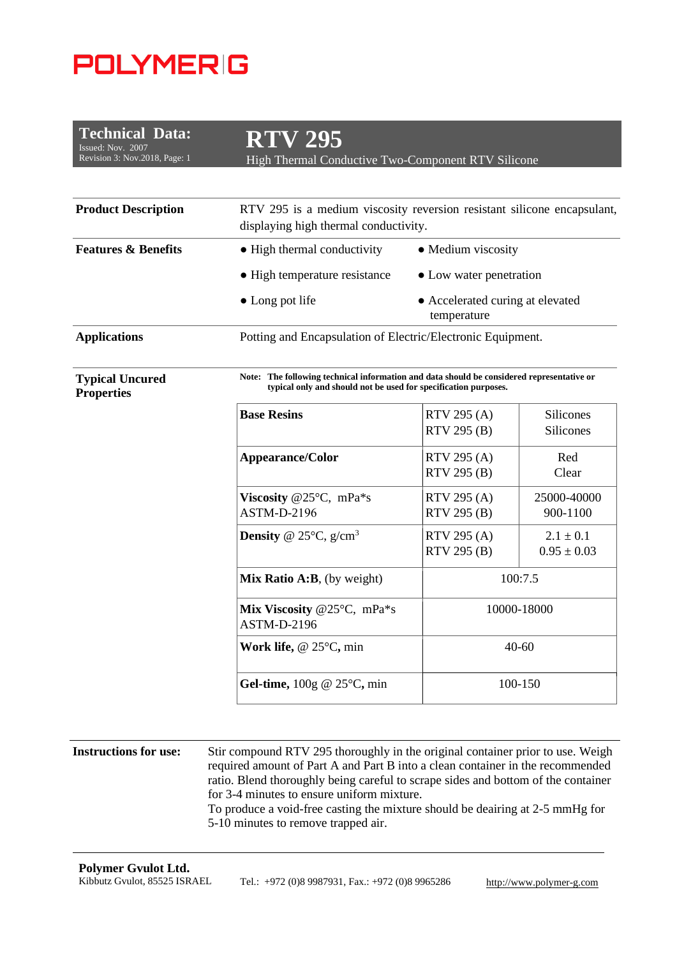## **POLYMERIG**

| <b>Technical Data:</b><br>Issued: Nov. 2007<br>Revision 3: Nov.2018, Page: 1 | <b>RTV 295</b><br>High Thermal Conductive Two-Component RTV Silicone                                                                                         |                                                 |                                  |
|------------------------------------------------------------------------------|--------------------------------------------------------------------------------------------------------------------------------------------------------------|-------------------------------------------------|----------------------------------|
|                                                                              |                                                                                                                                                              |                                                 |                                  |
| <b>Product Description</b>                                                   | RTV 295 is a medium viscosity reversion resistant silicone encapsulant,<br>displaying high thermal conductivity.                                             |                                                 |                                  |
| <b>Features &amp; Benefits</b>                                               | • High thermal conductivity<br>• Medium viscosity                                                                                                            |                                                 |                                  |
|                                                                              | • High temperature resistance<br>• Low water penetration                                                                                                     |                                                 |                                  |
|                                                                              | $\bullet$ Long pot life                                                                                                                                      | • Accelerated curing at elevated<br>temperature |                                  |
| <b>Applications</b>                                                          | Potting and Encapsulation of Electric/Electronic Equipment.                                                                                                  |                                                 |                                  |
| <b>Typical Uncured</b><br><b>Properties</b>                                  | Note: The following technical information and data should be considered representative or<br>typical only and should not be used for specification purposes. |                                                 |                                  |
|                                                                              | <b>Base Resins</b>                                                                                                                                           | RTV 295 (A)<br>RTV 295 (B)                      | <b>Silicones</b><br>Silicones    |
|                                                                              | Appearance/Color                                                                                                                                             | RTV 295 (A)<br>RTV 295 (B)                      | Red<br>Clear                     |
|                                                                              | Viscosity @25 $\degree$ C, mPa $*$ s<br><b>ASTM-D-2196</b>                                                                                                   | RTV 295 (A)<br>RTV 295 (B)                      | 25000-40000<br>900-1100          |
|                                                                              | <b>Density</b> @ $25^{\circ}$ C, g/cm <sup>3</sup>                                                                                                           | RTV 295 (A)<br>RTV 295 (B)                      | $2.1 \pm 0.1$<br>$0.95 \pm 0.03$ |
|                                                                              | Mix Ratio A:B, (by weight)                                                                                                                                   | 100:7.5                                         |                                  |
|                                                                              | Mix Viscosity @25 $\degree$ C, mPa*s<br><b>ASTM-D-2196</b>                                                                                                   | 10000-18000<br>$40 - 60$                        |                                  |
|                                                                              | Work life, $@$ 25 $°C$ , min                                                                                                                                 |                                                 |                                  |
|                                                                              | Gel-time, $100g \ @ 25^{\circ}C$ , min                                                                                                                       |                                                 | 100-150                          |

**Instructions for use:** Stir compound RTV 295 thoroughly in the original container prior to use. Weigh required amount of Part A and Part B into a clean container in the recommended ratio. Blend thoroughly being careful to scrape sides and bottom of the container for 3-4 minutes to ensure uniform mixture.

To produce a void-free casting the mixture should be deairing at 2-5 mmHg for 5-10 minutes to remove trapped air.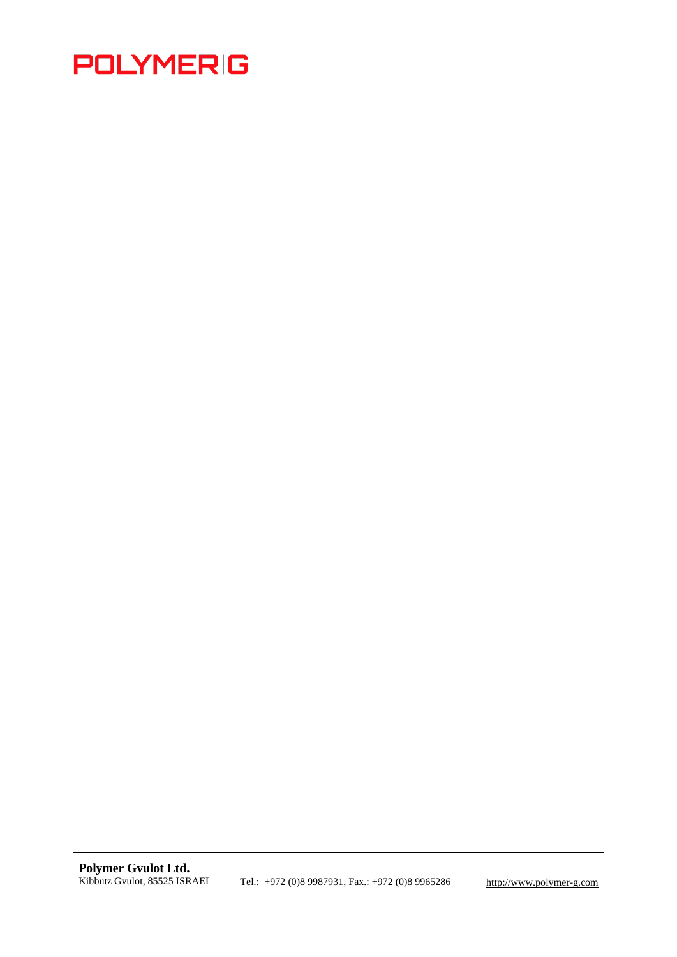

Tel.: +972 (0)8 9987931, Fax.: +972 (0)8 9965286 [http://www.polymer-g.com](http://www.polymer-g.com/)